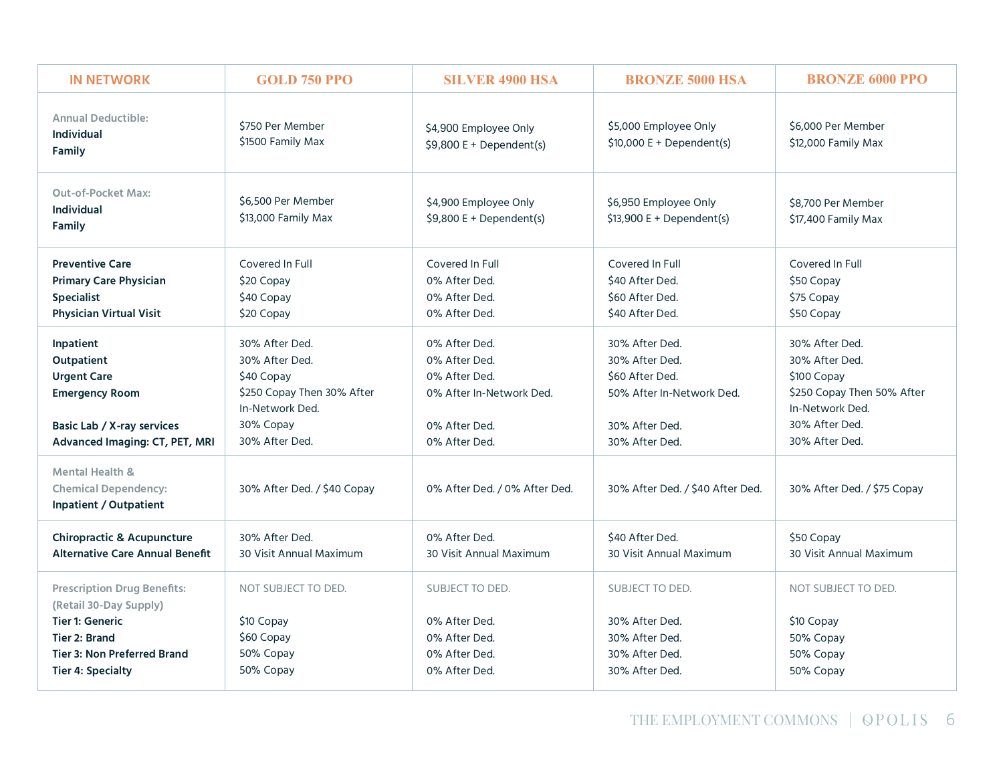| <b>Annual Deductible:</b><br>\$750 Per Member<br>\$5,000 Employee Only<br>\$6,000 Per Member<br>\$4,900 Employee Only<br><b>Individual</b><br>\$1500 Family Max<br>$$10,000 E + Dependent(s)$<br>\$12,000 Family Max<br>$$9,800 E + Dependent(s)$<br><b>Family</b><br><b>Out-of-Pocket Max:</b><br>\$6,500 Per Member<br>\$4,900 Employee Only<br>\$6,950 Employee Only<br>\$8,700 Per Member<br><b>Individual</b><br>\$13,000 Family Max<br>$$9,800 E + Dependent(s)$<br>$$13,900 E + Dependent(s)$<br>\$17,400 Family Max<br><b>Family</b><br><b>Preventive Care</b><br>Covered In Full<br>Covered In Full<br>Covered In Full<br>Covered In Full<br><b>Primary Care Physician</b><br>0% After Ded.<br>\$40 After Ded.<br>\$20 Copay<br>\$50 Copay<br>\$40 Copay<br><b>Specialist</b><br>0% After Ded.<br>\$60 After Ded.<br>\$75 Copay<br>Physician Virtual Visit<br>\$20 Copay<br>0% After Ded.<br>\$40 After Ded.<br>\$50 Copay<br>30% After Ded.<br>0% After Ded.<br>30% After Ded.<br>30% After Ded.<br>Inpatient<br>30% After Ded.<br>30% After Ded.<br>30% After Ded.<br>Outpatient<br>0% After Ded.<br><b>Urgent Care</b><br>0% After Ded.<br>\$60 After Ded.<br>\$40 Copay<br>\$100 Copay<br>\$250 Copay Then 30% After<br>50% After In-Network Ded.<br>\$250 Copay Then 50% After<br><b>Emergency Room</b><br>0% After In-Network Ded.<br>In-Network Ded.<br>In-Network Ded.<br>30% Copay<br>30% After Ded.<br>Basic Lab / X-ray services<br>0% After Ded.<br>30% After Ded.<br>30% After Ded.<br>30% After Ded.<br>Advanced Imaging: CT, PET, MRI<br>30% After Ded.<br>0% After Ded.<br><b>Mental Health &amp;</b><br><b>Chemical Dependency:</b><br>30% After Ded. / \$40 Copay<br>0% After Ded. / 0% After Ded.<br>30% After Ded. / \$40 After Ded.<br>30% After Ded. / \$75 Copay<br><b>Inpatient / Outpatient</b><br><b>Chiropractic &amp; Acupuncture</b><br>30% After Ded.<br>0% After Ded.<br>\$40 After Ded.<br>\$50 Copay<br><b>Alternative Care Annual Benefit</b><br>30 Visit Annual Maximum<br>30 Visit Annual Maximum<br>30 Visit Annual Maximum<br>30 Visit Annual Maximum<br><b>Prescription Drug Benefits:</b><br>NOT SUBJECT TO DED.<br>SUBJECT TO DED.<br>SUBJECT TO DED.<br>NOT SUBJECT TO DED.<br>(Retail 30-Day Supply)<br><b>Tier 1: Generic</b><br>\$10 Copay<br>0% After Ded.<br>30% After Ded.<br>\$10 Copay<br>\$60 Copay<br>0% After Ded.<br>30% After Ded.<br><b>Tier 2: Brand</b><br>50% Copay<br>50% Copay<br>0% After Ded.<br>30% After Ded.<br><b>Tier 3: Non Preferred Brand</b><br>50% Copay<br>50% Copay<br><b>Tier 4: Specialty</b><br>0% After Ded.<br>30% After Ded.<br>50% Copay<br>THE EMPLOYMENT COMMONS   OPOLIS 6 | <b>IN NETWORK</b> | <b>GOLD 750 PPO</b> | <b>SILVER 4900 HSA</b> | <b>BRONZE 5000 HSA</b> | <b>BRONZE 6000 PPO</b> |
|--------------------------------------------------------------------------------------------------------------------------------------------------------------------------------------------------------------------------------------------------------------------------------------------------------------------------------------------------------------------------------------------------------------------------------------------------------------------------------------------------------------------------------------------------------------------------------------------------------------------------------------------------------------------------------------------------------------------------------------------------------------------------------------------------------------------------------------------------------------------------------------------------------------------------------------------------------------------------------------------------------------------------------------------------------------------------------------------------------------------------------------------------------------------------------------------------------------------------------------------------------------------------------------------------------------------------------------------------------------------------------------------------------------------------------------------------------------------------------------------------------------------------------------------------------------------------------------------------------------------------------------------------------------------------------------------------------------------------------------------------------------------------------------------------------------------------------------------------------------------------------------------------------------------------------------------------------------------------------------------------------------------------------------------------------------------------------------------------------------------------------------------------------------------------------------------------------------------------------------------------------------------------------------------------------------------------------------------------------------------------------------------------------------------------------------------------------------------------------------------------------------------------------------------------------------------------------------------------------------------------------------------------------------------------|-------------------|---------------------|------------------------|------------------------|------------------------|
|                                                                                                                                                                                                                                                                                                                                                                                                                                                                                                                                                                                                                                                                                                                                                                                                                                                                                                                                                                                                                                                                                                                                                                                                                                                                                                                                                                                                                                                                                                                                                                                                                                                                                                                                                                                                                                                                                                                                                                                                                                                                                                                                                                                                                                                                                                                                                                                                                                                                                                                                                                                                                                                                          |                   |                     |                        |                        |                        |
|                                                                                                                                                                                                                                                                                                                                                                                                                                                                                                                                                                                                                                                                                                                                                                                                                                                                                                                                                                                                                                                                                                                                                                                                                                                                                                                                                                                                                                                                                                                                                                                                                                                                                                                                                                                                                                                                                                                                                                                                                                                                                                                                                                                                                                                                                                                                                                                                                                                                                                                                                                                                                                                                          |                   |                     |                        |                        |                        |
|                                                                                                                                                                                                                                                                                                                                                                                                                                                                                                                                                                                                                                                                                                                                                                                                                                                                                                                                                                                                                                                                                                                                                                                                                                                                                                                                                                                                                                                                                                                                                                                                                                                                                                                                                                                                                                                                                                                                                                                                                                                                                                                                                                                                                                                                                                                                                                                                                                                                                                                                                                                                                                                                          |                   |                     |                        |                        |                        |
|                                                                                                                                                                                                                                                                                                                                                                                                                                                                                                                                                                                                                                                                                                                                                                                                                                                                                                                                                                                                                                                                                                                                                                                                                                                                                                                                                                                                                                                                                                                                                                                                                                                                                                                                                                                                                                                                                                                                                                                                                                                                                                                                                                                                                                                                                                                                                                                                                                                                                                                                                                                                                                                                          |                   |                     |                        |                        |                        |
|                                                                                                                                                                                                                                                                                                                                                                                                                                                                                                                                                                                                                                                                                                                                                                                                                                                                                                                                                                                                                                                                                                                                                                                                                                                                                                                                                                                                                                                                                                                                                                                                                                                                                                                                                                                                                                                                                                                                                                                                                                                                                                                                                                                                                                                                                                                                                                                                                                                                                                                                                                                                                                                                          |                   |                     |                        |                        |                        |
|                                                                                                                                                                                                                                                                                                                                                                                                                                                                                                                                                                                                                                                                                                                                                                                                                                                                                                                                                                                                                                                                                                                                                                                                                                                                                                                                                                                                                                                                                                                                                                                                                                                                                                                                                                                                                                                                                                                                                                                                                                                                                                                                                                                                                                                                                                                                                                                                                                                                                                                                                                                                                                                                          |                   |                     |                        |                        |                        |
|                                                                                                                                                                                                                                                                                                                                                                                                                                                                                                                                                                                                                                                                                                                                                                                                                                                                                                                                                                                                                                                                                                                                                                                                                                                                                                                                                                                                                                                                                                                                                                                                                                                                                                                                                                                                                                                                                                                                                                                                                                                                                                                                                                                                                                                                                                                                                                                                                                                                                                                                                                                                                                                                          |                   |                     |                        |                        |                        |
|                                                                                                                                                                                                                                                                                                                                                                                                                                                                                                                                                                                                                                                                                                                                                                                                                                                                                                                                                                                                                                                                                                                                                                                                                                                                                                                                                                                                                                                                                                                                                                                                                                                                                                                                                                                                                                                                                                                                                                                                                                                                                                                                                                                                                                                                                                                                                                                                                                                                                                                                                                                                                                                                          |                   |                     |                        |                        |                        |